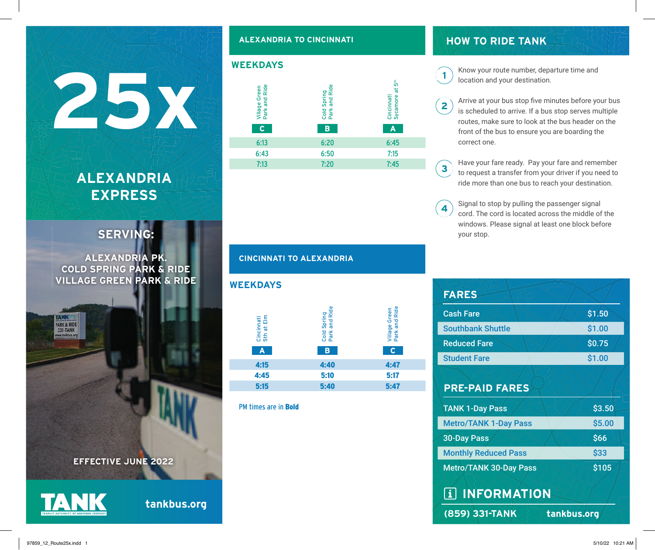# **ALEXANDRIA EXPRESS**

## **SERVING:**

**ALEXANDRIA PK. COLD SPRING PARK & RIDE VILLAGE GREEN PARK & RIDE**





PARK & RIDE 331-TAN

**tankbus.org**

#### **ALEXANDRIA TO CINCINNATI**



#### **CINCINNATI TO ALEXANDRIA**

| <b>WEEKDAYS</b>               |                                   |                                     |
|-------------------------------|-----------------------------------|-------------------------------------|
| Cincinnati<br>5th at Elm<br>A | Cold Spring<br>Park and Ride<br>в | Village Green<br>Park and Ride<br>C |
| 4:15                          | 4:40                              | 4:47                                |
| 4:45                          | 5:10                              | 5:17                                |
| 5:15                          | 5:40                              | 5:47                                |
|                               |                                   |                                     |

PM times are in Bold

## **HOW TO RIDE TANK**

location and your destination.

- Arrive at your bus stop five minutes before your bus is scheduled to arrive. If a bus stop serves multiple routes, make sure to look at the bus header on the front of the bus to ensure you are boarding the correct one.
- Have your fare ready. Pay your fare and remember  $\overline{\mathbf{3}}$ to request a transfer from your driver if you need to ride more than one bus to reach your destination.
- Signal to stop by pulling the passenger signal 4 cord. The cord is located across the middle of the windows. Please signal at least one block before your stop.

| <b>FARES</b>                           |        |  |  |
|----------------------------------------|--------|--|--|
| <b>Cash Fare</b>                       | \$1.50 |  |  |
| <b>Southbank Shuttle</b>               | \$1.00 |  |  |
| <b>Reduced Fare</b>                    | \$0.75 |  |  |
| <b>Student Fare</b>                    | \$1.00 |  |  |
| <b>PRE-PAID FARES</b>                  |        |  |  |
| <b>TANK 1-Day Pass</b>                 | \$3.50 |  |  |
| <b>Metro/TANK 1-Day Pass</b>           | \$5.00 |  |  |
| <b>30-Day Pass</b>                     | \$66   |  |  |
| <b>Monthly Reduced Pass</b>            | \$33   |  |  |
| \$105<br><b>Metro/TANK 30-Day Pass</b> |        |  |  |
| <b>TAINFORMATION</b>                   |        |  |  |
| (859) 331-TANK<br>tankbus.org          |        |  |  |